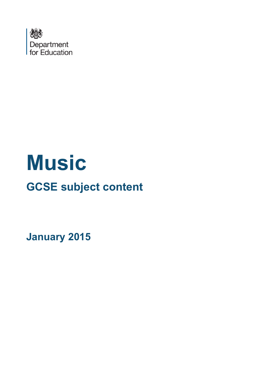

# **Music**

## **GCSE subject content**

**January 2015**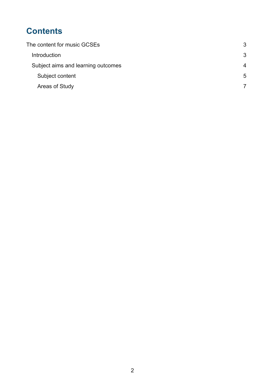## **Contents**

| The content for music GCSEs        | 3                     |
|------------------------------------|-----------------------|
| Introduction                       | 3                     |
| Subject aims and learning outcomes | $\boldsymbol{\Delta}$ |
| Subject content                    | 5                     |
| Areas of Study                     |                       |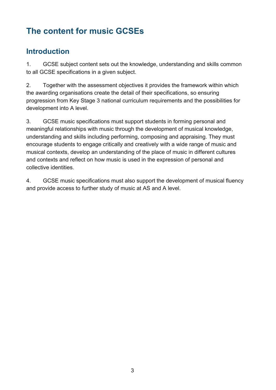## <span id="page-2-0"></span>**The content for music GCSEs**

### <span id="page-2-1"></span>**Introduction**

1. GCSE subject content sets out the knowledge, understanding and skills common to all GCSE specifications in a given subject.

2. Together with the assessment objectives it provides the framework within which the awarding organisations create the detail of their specifications, so ensuring progression from Key Stage 3 national curriculum requirements and the possibilities for development into A level.

3. GCSE music specifications must support students in forming personal and meaningful relationships with music through the development of musical knowledge, understanding and skills including performing, composing and appraising. They must encourage students to engage critically and creatively with a wide range of music and musical contexts, develop an understanding of the place of music in different cultures and contexts and reflect on how music is used in the expression of personal and collective identities.

4. GCSE music specifications must also support the development of musical fluency and provide access to further study of music at AS and A level.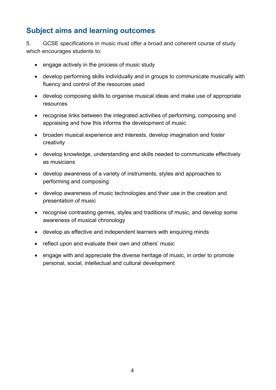## <span id="page-3-0"></span>**Subject aims and learning outcomes**

5. GCSE specifications in music must offer a broad and coherent course of study which encourages students to:

- engage actively in the process of music study
- develop performing skills individually and in groups to communicate musically with fluency and control of the resources used
- develop composing skills to organise musical ideas and make use of appropriate resources
- recognise links between the integrated activities of performing, composing and appraising and how this informs the development of music
- broaden musical experience and interests, develop imagination and foster creativity
- develop knowledge, understanding and skills needed to communicate effectively as musicians
- develop awareness of a variety of instruments, styles and approaches to performing and composing
- develop awareness of music technologies and their use in the creation and presentation of music
- recognise contrasting genres, styles and traditions of music, and develop some awareness of musical chronology
- develop as effective and independent learners with enquiring minds
- reflect upon and evaluate their own and others' music
- engage with and appreciate the diverse heritage of music, in order to promote personal, social, intellectual and cultural development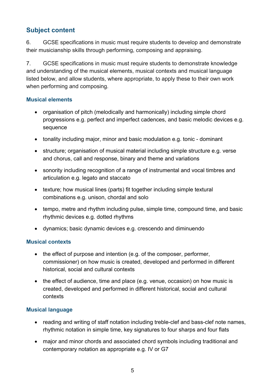#### <span id="page-4-0"></span>**Subject content**

6. GCSE specifications in music must require students to develop and demonstrate their musicianship skills through performing, composing and appraising.

7. GCSE specifications in music must require students to demonstrate knowledge and understanding of the musical elements, musical contexts and musical language listed below, and allow students, where appropriate, to apply these to their own work when performing and composing.

#### **Musical elements**

- organisation of pitch (melodically and harmonically) including simple chord progressions e.g. perfect and imperfect cadences, and basic melodic devices e.g. sequence
- tonality including major, minor and basic modulation e.g. tonic dominant
- structure; organisation of musical material including simple structure e.g. verse and chorus, call and response, binary and theme and variations
- sonority including recognition of a range of instrumental and vocal timbres and articulation e.g. legato and staccato
- texture; how musical lines (parts) fit together including simple textural combinations e.g. unison, chordal and solo
- tempo, metre and rhythm including pulse, simple time, compound time, and basic rhythmic devices e.g. dotted rhythms
- dynamics; basic dynamic devices e.g. crescendo and diminuendo

#### **Musical contexts**

- the effect of purpose and intention (e.g. of the composer, performer, commissioner) on how music is created, developed and performed in different historical, social and cultural contexts
- the effect of audience, time and place (e.g. venue, occasion) on how music is created, developed and performed in different historical, social and cultural contexts

#### **Musical language**

- reading and writing of staff notation including treble-clef and bass-clef note names, rhythmic notation in simple time, key signatures to four sharps and four flats
- major and minor chords and associated chord symbols including traditional and contemporary notation as appropriate e.g. IV or G7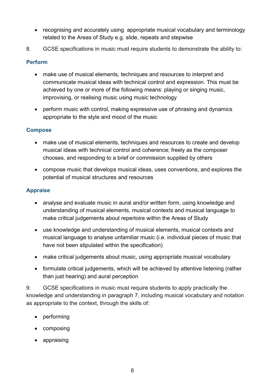- recognising and accurately using appropriate musical vocabulary and terminology related to the Areas of Study e.g. slide, repeats and stepwise
- 8. GCSE specifications in music must require students to demonstrate the ability to:

#### **Perform**

- make use of musical elements, techniques and resources to interpret and communicate musical ideas with technical control and expression. This must be achieved by one or more of the following means: playing or singing music, improvising, or realising music using music technology
- perform music with control, making expressive use of phrasing and dynamics appropriate to the style and mood of the music

#### **Compose**

- make use of musical elements, techniques and resources to create and develop musical ideas with technical control and coherence; freely as the composer chooses, and responding to a brief or commission supplied by others
- compose music that develops musical ideas, uses conventions, and explores the potential of musical structures and resources

#### **Appraise**

- analyse and evaluate music in aural and/or written form, using knowledge and understanding of musical elements, musical contexts and musical language to make critical judgements about repertoire within the Areas of Study
- use knowledge and understanding of musical elements, musical contexts and musical language to analyse unfamiliar music (i.e. individual pieces of music that have not been stipulated within the specification)
- make critical judgements about music, using appropriate musical vocabulary
- formulate critical judgements, which will be achieved by attentive listening (rather than just hearing) and aural perception

9. GCSE specifications in music must require students to apply practically the knowledge and understanding in paragraph 7, including musical vocabulary and notation as appropriate to the context, through the skills of:

- performing
- composing
- appraising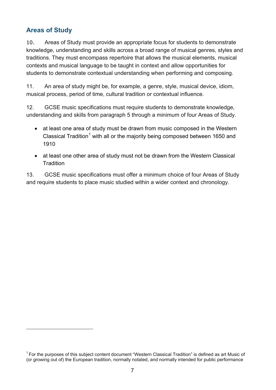#### <span id="page-6-0"></span>**Areas of Study**

 $\overline{a}$ 

10. Areas of Study must provide an appropriate focus for students to demonstrate knowledge, understanding and skills across a broad range of musical genres, styles and traditions. They must encompass repertoire that allows the musical elements, musical contexts and musical language to be taught in context and allow opportunities for students to demonstrate contextual understanding when performing and composing.

11. An area of study might be, for example, a genre, style, musical device, idiom, musical process, period of time, cultural tradition or contextual influence.

12. GCSE music specifications must require students to demonstrate knowledge, understanding and skills from paragraph 5 through a minimum of four Areas of Study.

- at least one area of study must be drawn from music composed in the Western Classical Tradition<sup>[1](#page-6-1)</sup> with all or the majority being composed between 1650 and 1910
- at least one other area of study must not be drawn from the Western Classical **Tradition**

13. GCSE music specifications must offer a minimum choice of four Areas of Study and require students to place music studied within a wider context and chronology.

<span id="page-6-1"></span> $1$  For the purposes of this subject content document "Western Classical Tradition" is defined as art Music of (or growing out of) the European tradition, normally notated, and normally intended for public performance